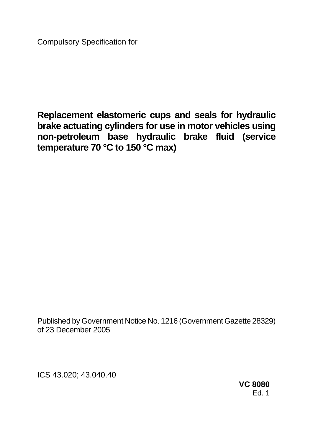Compulsory Specification for

**Replacement elastomeric cups and seals for hydraulic brake actuating cylinders for use in motor vehicles using non-petroleum base hydraulic brake fluid (service temperature 70 °C to 150 °C max)** 

Published by Government Notice No. 1216 (Government Gazette 28329) of 23 December 2005

ICS 43.020; 43.040.40

**VC 8080**  Ed. 1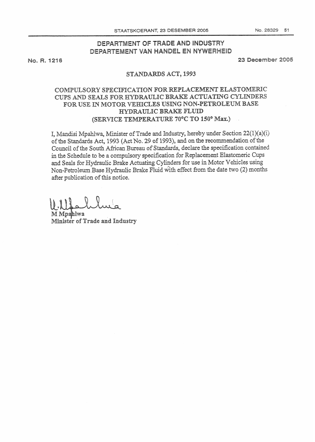# DEPARTMENT OF TRADE AND INDUSTRY DEPARTEMENT VAN HANDEL EN NYWERHEID

No. R. 1216

23 December 2005

### STANDARDS ACT, 1993

## COMPULSORY SPECIFICATION FOR REPLACEMENT ELASTOMERIC CUPS AND SEALS FOR HYDRAULIC BRAKE ACTUATING CYLINDERS FOR USE IN MOTOR VEHICLES USING NON-PETROLEUM BASE HYDRAULIC BRAKE FLUID (SERVICE TEMPERATURE 70°C TO 150° Max.)

I, Mandisi Mpahlwa, Minister of Trade and Industry, hereby under Section  $22(1)(a)(i)$ of the Standards Act, 1993 (Act No. 29 of 1993), and on the recommendation of the Council of the South African Bureau of Standards, declare the specification contained in the Schedule to be a compulsory specification for Replacement Elastomeric Cups and Seals for Hydraulic Brake Actuating Cylinders for use in Motor Vehicles using Non-Petroleum Base Hydraulic Brake Fluid with effect from the date two (2) months after publication of this notice.

M Mpahlwa Minister of Trade and Industry